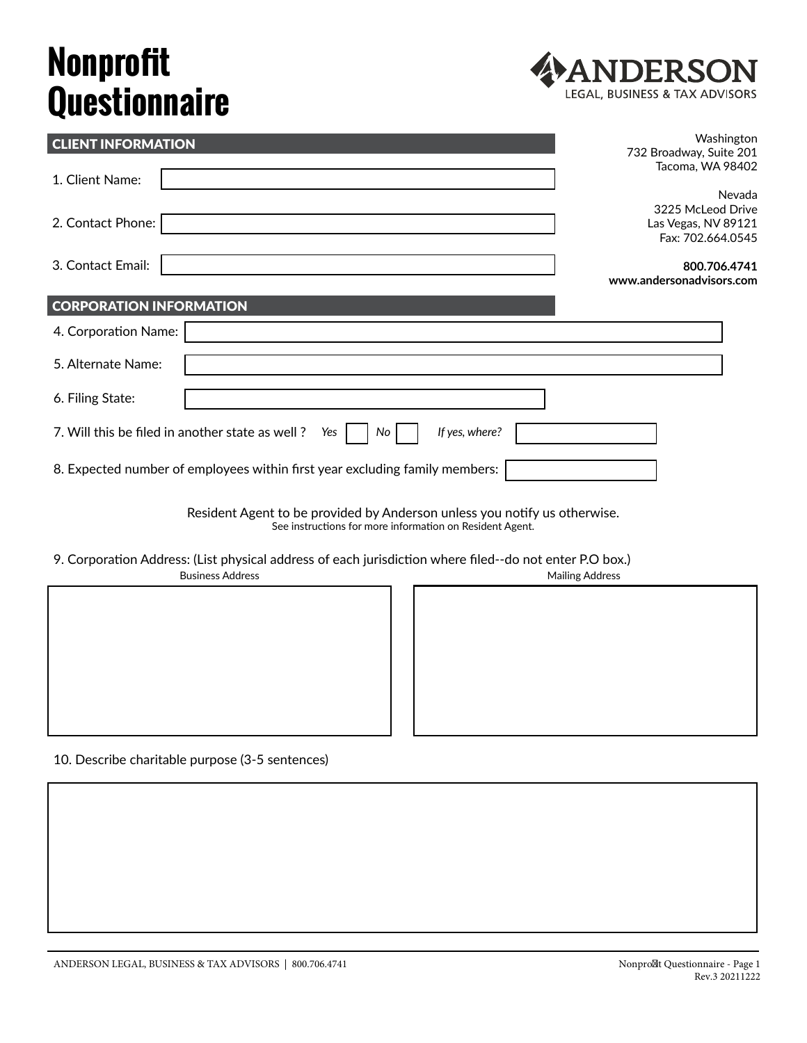## **Nonprofit Questionnaire**



| <b>CLIENT INFORMATION</b>                                                      | Washington<br>732 Broadway, Suite 201    |
|--------------------------------------------------------------------------------|------------------------------------------|
| 1. Client Name:                                                                | Tacoma, WA 98402                         |
|                                                                                | Nevada<br>3225 McLeod Drive              |
| 2. Contact Phone:                                                              | Las Vegas, NV 89121<br>Fax: 702.664.0545 |
| 3. Contact Email:                                                              | 800.706.4741<br>www.andersonadvisors.com |
| <b>CORPORATION INFORMATION</b>                                                 |                                          |
| 4. Corporation Name:                                                           |                                          |
| 5. Alternate Name:                                                             |                                          |
| 6. Filing State:                                                               |                                          |
| If yes, where?<br>7. Will this be filed in another state as well?<br>No<br>Yes |                                          |
| 8. Expected number of employees within first year excluding family members:    |                                          |

Resident Agent to be provided by Anderson unless you notify us otherwise. See instructions for more information on Resident Agent.

9. Corporation Address: (List physical address of each jurisdiction where filed--do not enter P.O box.)



10. Describe charitable purpose (3-5 sentences)